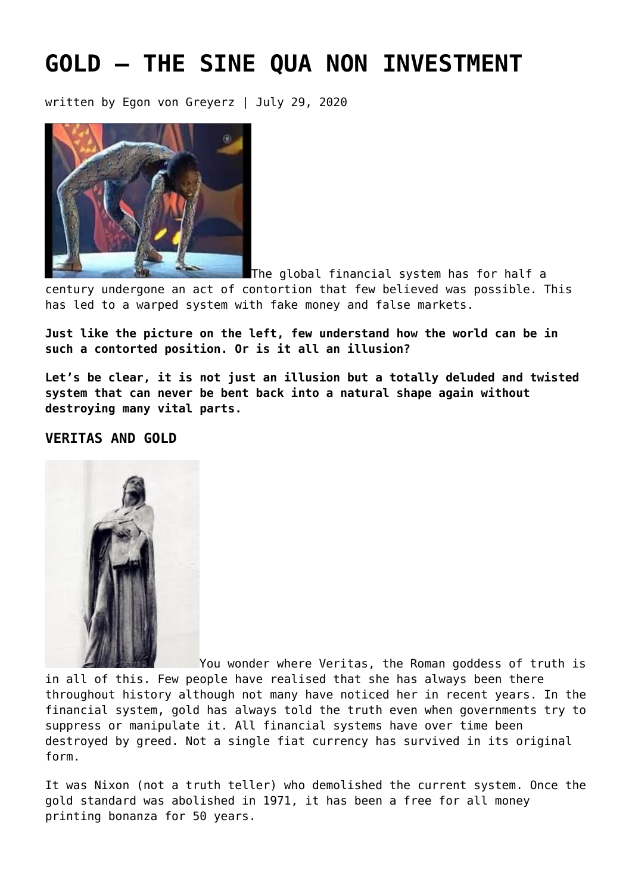# **[GOLD – THE SINE QUA NON INVESTMENT](https://goldswitzerland.com/gold-the-sine-qua-non-investment/)**

written by Egon von Greyerz | July 29, 2020



The global financial system has for half a

century undergone an act of contortion that few believed was possible. This has led to a warped system with fake money and false markets.

**Just like the picture on the left, few understand how the world can be in such a contorted position. Or is it all an illusion?**

**Let's be clear, it is not just an illusion but a totally deluded and twisted system that can never be bent back into a natural shape again without destroying many vital parts.**

### **VERITAS AND GOLD**



You wonder where Veritas, the Roman goddess of truth is in all of this. Few people have realised that she has always been there throughout history although not many have noticed her in recent years. In the financial system, gold has always told the truth even when governments try to suppress or manipulate it. All financial systems have over time been destroyed by greed. Not a single fiat currency has survived in its original form.

It was Nixon (not a truth teller) who demolished the current system. Once the gold standard was abolished in 1971, it has been a free for all money printing bonanza for 50 years.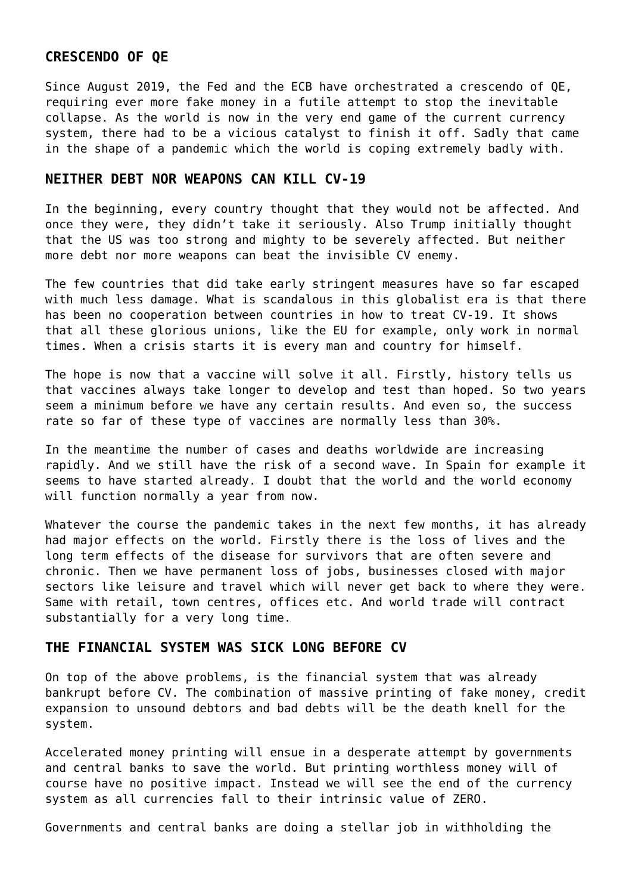### **CRESCENDO OF QE**

Since August 2019, the Fed and the ECB have orchestrated a crescendo of QE, requiring ever more fake money in a futile attempt to stop the inevitable collapse. As the world is now in the very end game of the current currency system, there had to be a vicious catalyst to finish it off. Sadly that came in the shape of a pandemic which the world is coping extremely badly with.

### **NEITHER DEBT NOR WEAPONS CAN KILL CV-19**

In the beginning, every country thought that they would not be affected. And once they were, they didn't take it seriously. Also Trump initially thought that the US was too strong and mighty to be severely affected. But neither more debt nor more weapons can beat the invisible CV enemy.

The few countries that did take early stringent measures have so far escaped with much less damage. What is scandalous in this globalist era is that there has been no cooperation between countries in how to treat CV-19. It shows that all these glorious unions, like the EU for example, only work in normal times. When a crisis starts it is every man and country for himself.

The hope is now that a vaccine will solve it all. Firstly, history tells us that vaccines always take longer to develop and test than hoped. So two years seem a minimum before we have any certain results. And even so, the success rate so far of these type of vaccines are normally less than 30%.

In the meantime the number of cases and deaths worldwide are increasing rapidly. And we still have the risk of a second wave. In Spain for example it seems to have started already. I doubt that the world and the world economy will function normally a year from now.

Whatever the course the pandemic takes in the next few months, it has already had major effects on the world. Firstly there is the loss of lives and the long term effects of the disease for survivors that are often severe and chronic. Then we have permanent loss of jobs, businesses closed with major sectors like leisure and travel which will never get back to where they were. Same with retail, town centres, offices etc. And world trade will contract substantially for a very long time.

### **THE FINANCIAL SYSTEM WAS SICK LONG BEFORE CV**

On top of the above problems, is the financial system that was already bankrupt before CV. The combination of massive printing of fake money, credit expansion to unsound debtors and bad debts will be the death knell for the system.

Accelerated money printing will ensue in a desperate attempt by governments and central banks to save the world. But printing worthless money will of course have no positive impact. Instead we will see the end of the currency system as all currencies fall to their intrinsic value of ZERO.

Governments and central banks are doing a stellar job in withholding the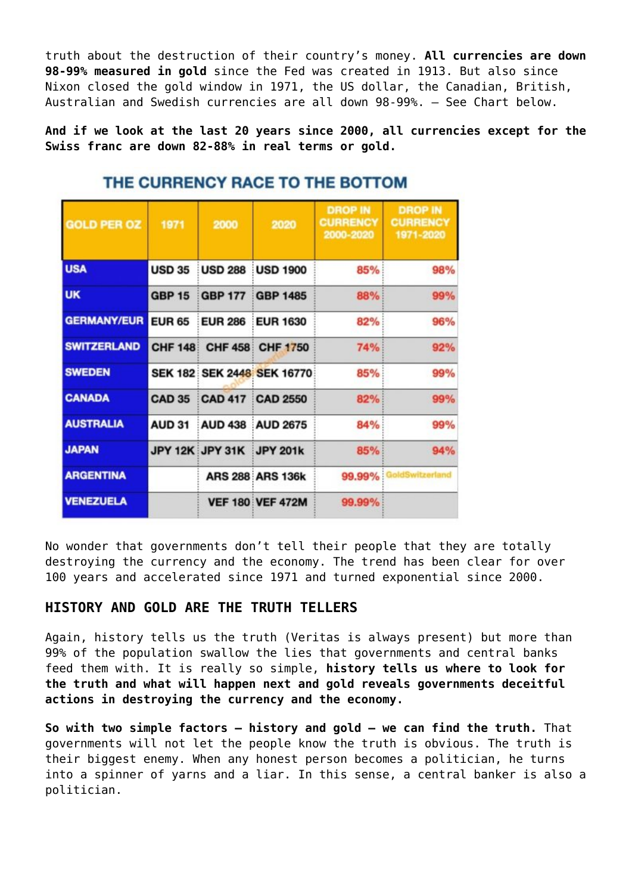truth about the destruction of their country's money. **All currencies are down 98-99% measured in gold** since the Fed was created in 1913. But also since Nixon closed the gold window in 1971, the US dollar, the Canadian, British, Australian and Swedish currencies are all down 98-99%. – See Chart below.

**And if we look at the last 20 years since 2000, all currencies except for the Swiss franc are down 82-88% in real terms or gold.**

| <b>GOLD PER OZ</b> | 1971          | 2000            | 2020                       | <b>DROP IN</b><br><b>CURRENCY</b><br>2000-2020 | <b>DROP IN</b><br><b>CURRENCY</b><br>1971-2020 |
|--------------------|---------------|-----------------|----------------------------|------------------------------------------------|------------------------------------------------|
| <b>USA</b>         | <b>USD 35</b> | <b>USD 288</b>  | <b>USD 1900</b>            | 85%                                            | 98%                                            |
| <b>UK</b>          | <b>GBP 15</b> | <b>GBP 177</b>  | <b>GBP 1485</b>            | 88%                                            | 99%                                            |
| <b>GERMANY/EUR</b> | <b>EUR 65</b> | <b>EUR 286</b>  | <b>EUR 1630</b>            | 82%                                            | 96%                                            |
| <b>SWITZERLAND</b> |               |                 | CHF 148: CHF 458: CHF 1750 | <b>74%</b>                                     | 92%                                            |
| <b>SWEDEN</b>      |               |                 | SEK 182 SEK 2448 SEK 16770 | 85%                                            | 99%                                            |
| <b>CANADA</b>      | <b>CAD 35</b> |                 | <b>CAD 417 CAD 2550</b>    | 82%                                            | 99%                                            |
| <b>AUSTRALIA</b>   | <b>AUD 31</b> | <b>AUD 438</b>  | <b>AUD 2675</b>            | 84%                                            | 99%                                            |
| <b>JAPAN</b>       |               | JPY 12K JPY 31K | JPY 201k                   | 85%                                            | 94%                                            |
| <b>ARGENTINA</b>   |               |                 | <b>ARS 288 ARS 136k</b>    |                                                | 99.99% GoldSwitzerland                         |
| <b>VENEZUELA</b>   |               |                 | <b>VEF 180 VEF 472M</b>    | 99.99%                                         |                                                |

## THE CURRENCY RACE TO THE BOTTOM

No wonder that governments don't tell their people that they are totally destroying the currency and the economy. The trend has been clear for over 100 years and accelerated since 1971 and turned exponential since 2000.

### **HISTORY AND GOLD ARE THE TRUTH TELLERS**

Again, history tells us the truth (Veritas is always present) but more than 99% of the population swallow the lies that governments and central banks feed them with. It is really so simple, **history tells us where to look for the truth and what will happen next and gold reveals governments deceitful actions in destroying the currency and the economy.**

**So with two simple factors – history and gold – we can find the truth.** That governments will not let the people know the truth is obvious. The truth is their biggest enemy. When any honest person becomes a politician, he turns into a spinner of yarns and a liar. In this sense, a central banker is also a politician.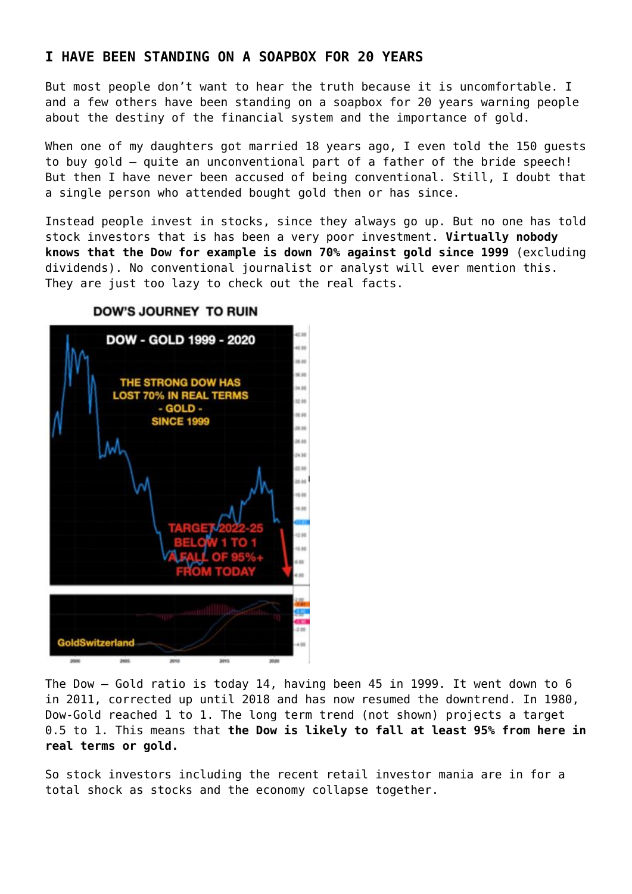### **I HAVE BEEN STANDING ON A SOAPBOX FOR 20 YEARS**

But most people don't want to hear the truth because it is uncomfortable. I and a few others have been standing on a soapbox for 20 years warning people about the destiny of the financial system and the importance of gold.

When one of my daughters got married 18 years ago, I even told the 150 guests to buy gold – quite an unconventional part of a father of the bride speech! But then I have never been accused of being conventional. Still, I doubt that a single person who attended bought gold then or has since.

Instead people invest in stocks, since they always go up. But no one has told stock investors that is has been a very poor investment. **Virtually nobody knows that the Dow for example is down 70% against gold since 1999** (excluding dividends). No conventional journalist or analyst will ever mention this. They are just too lazy to check out the real facts.



#### **DOW'S JOURNEY TO RUIN**

The Dow – Gold ratio is today 14, having been 45 in 1999. It went down to 6 in 2011, corrected up until 2018 and has now resumed the downtrend. In 1980, Dow-Gold reached 1 to 1. The long term trend (not shown) projects a target 0.5 to 1. This means that **the Dow is likely to fall at least 95% from here in real terms or gold.**

So stock investors including the recent retail investor mania are in for a total shock as stocks and the economy collapse together.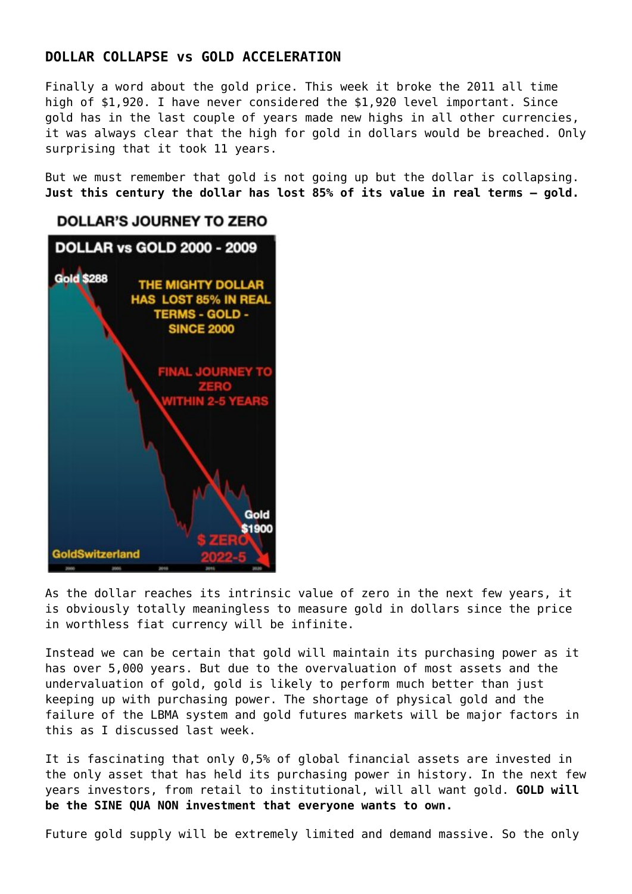### **DOLLAR COLLAPSE vs GOLD ACCELERATION**

Finally a word about the gold price. This week it broke the 2011 all time high of \$1,920. I have never considered the \$1,920 level important. Since gold has in the last couple of years made new highs in all other currencies, it was always clear that the high for gold in dollars would be breached. Only surprising that it took 11 years.

But we must remember that gold is not going up but the dollar is collapsing. **Just this century the dollar has lost 85% of its value in real terms – gold.**



As the dollar reaches its intrinsic value of zero in the next few years, it is obviously totally meaningless to measure gold in dollars since the price in worthless fiat currency will be infinite.

Instead we can be certain that gold will maintain its purchasing power as it has over 5,000 years. But due to the overvaluation of most assets and the undervaluation of gold, gold is likely to perform much better than just keeping up with purchasing power. The shortage of physical gold and the failure of the LBMA system and gold futures markets will be major factors in this [as I discussed last week.](https://goldswitzerland.com/financial-system-a-hubristic-swindle/)

It is fascinating that only 0,5% of global financial assets are invested in the only asset that has held its purchasing power in history. In the next few years investors, from retail to institutional, will all want gold. **GOLD will be the SINE QUA NON investment that everyone wants to own.**

Future gold supply will be extremely limited and demand massive. So the only